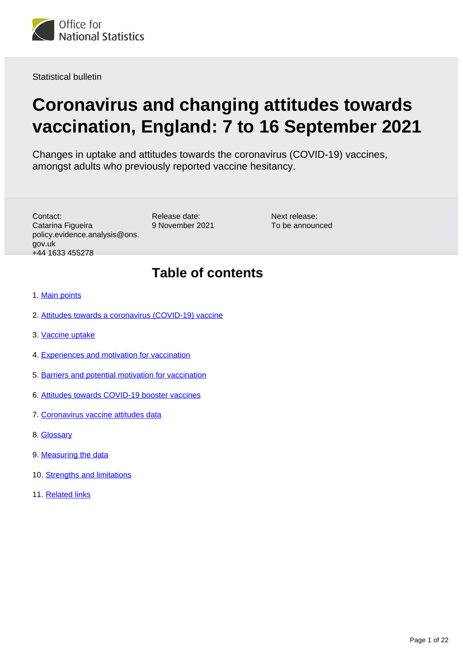

Statistical bulletin

# **Coronavirus and changing attitudes towards vaccination, England: 7 to 16 September 2021**

Changes in uptake and attitudes towards the coronavirus (COVID-19) vaccines, amongst adults who previously reported vaccine hesitancy.

| Contact:                      |
|-------------------------------|
| Catarina Figueira             |
| policy.evidence.analysis@ons. |
| gov.uk                        |
| +44 1633 455278               |

Release date: 9 November 2021

Next release: To be announced

# **Table of contents**

- 1. [Main points](#page-1-0)
- 2. [Attitudes towards a coronavirus \(COVID-19\) vaccine](#page-2-0)
- 3. [Vaccine uptake](#page-3-0)
- 4. [Experiences and motivation for vaccination](#page-8-0)
- 5. [Barriers and potential motivation for vaccination](#page-10-0)
- 6. [Attitudes towards COVID-19 booster vaccines](#page-15-0)
- 7. [Coronavirus vaccine attitudes data](#page-17-0)
- 8. [Glossary](#page-17-1)
- 9. [Measuring the data](#page-19-0)
- 10. [Strengths and limitations](#page-20-0)
- 11. [Related links](#page-21-0)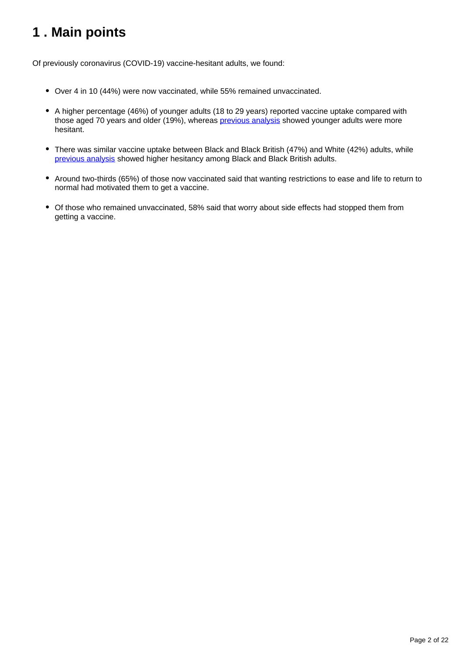# <span id="page-1-0"></span>**1 . Main points**

Of previously coronavirus (COVID-19) vaccine-hesitant adults, we found:

- Over 4 in 10 (44%) were now vaccinated, while 55% remained unvaccinated.
- A higher percentage (46%) of younger adults (18 to 29 years) reported vaccine uptake compared with those aged 70 years and older (19%), whereas [previous analysis](https://www.ons.gov.uk/peoplepopulationandcommunity/healthandsocialcare/healthandwellbeing/bulletins/coronavirusandvaccinehesitancygreatbritain/9august2021) showed younger adults were more hesitant.
- There was similar vaccine uptake between Black and Black British (47%) and White (42%) adults, while [previous analysis](https://www.ons.gov.uk/peoplepopulationandcommunity/healthandsocialcare/healthandwellbeing/bulletins/coronavirusandvaccinehesitancygreatbritain/9august2021) showed higher hesitancy among Black and Black British adults.
- Around two-thirds (65%) of those now vaccinated said that wanting restrictions to ease and life to return to normal had motivated them to get a vaccine.
- Of those who remained unvaccinated, 58% said that worry about side effects had stopped them from getting a vaccine.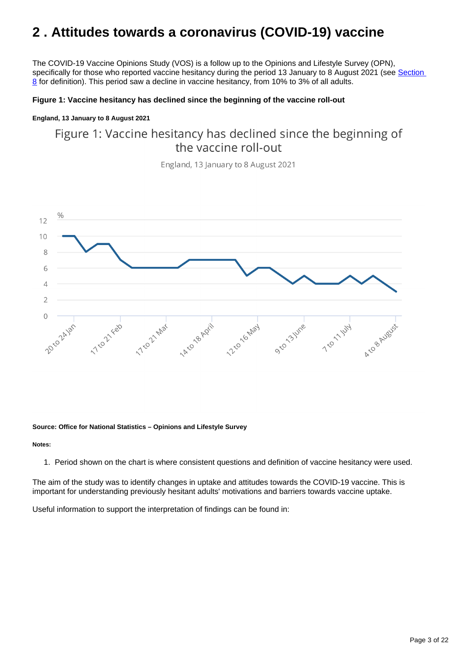# <span id="page-2-0"></span>**2 . Attitudes towards a coronavirus (COVID-19) vaccine**

The COVID-19 Vaccine Opinions Study (VOS) is a follow up to the Opinions and Lifestyle Survey (OPN), specifically for those who reported vaccine hesitancy during the period 13 January to 8 August 2021 (see Section [8](https://www.ons.gov.uk/peoplepopulationandcommunity/healthandsocialcare/healthandwellbeing/bulletins/coronavirusandchangingattitudestowardsvaccinationengland/7to16september2021#glossary) for definition). This period saw a decline in vaccine hesitancy, from 10% to 3% of all adults.

#### **Figure 1: Vaccine hesitancy has declined since the beginning of the vaccine roll-out**

#### **England, 13 January to 8 August 2021**

# Figure 1: Vaccine hesitancy has declined since the beginning of the vaccine roll-out

England, 13 January to 8 August 2021



#### **Source: Office for National Statistics – Opinions and Lifestyle Survey**

#### **Notes:**

1. Period shown on the chart is where consistent questions and definition of vaccine hesitancy were used.

The aim of the study was to identify changes in uptake and attitudes towards the COVID-19 vaccine. This is important for understanding previously hesitant adults' motivations and barriers towards vaccine uptake.

Useful information to support the interpretation of findings can be found in: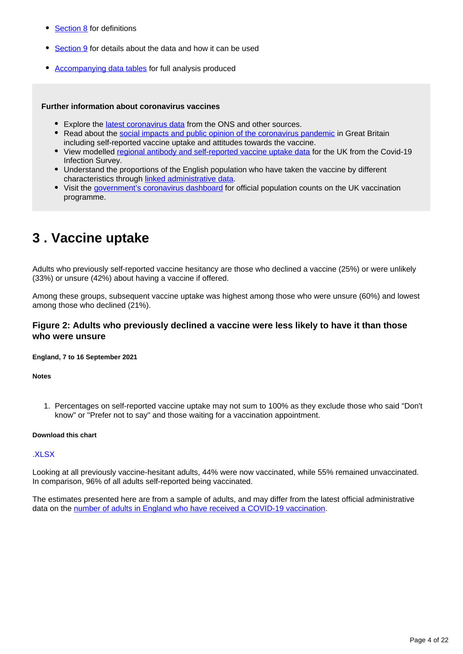- [Section 8](https://www.ons.gov.uk/peoplepopulationandcommunity/healthandsocialcare/healthandwellbeing/bulletins/coronavirusandchangingattitudestowardsvaccinationengland/7to16september2021#glossary) for definitions
- [Section 9](https://www.ons.gov.uk/peoplepopulationandcommunity/healthandsocialcare/healthandwellbeing/bulletins/coronavirusandchangingattitudestowardsvaccinationengland/7to16september2021#measuring-the-data) for details about the data and how it can be used
- [Accompanying data tables](https://www.ons.gov.uk/peoplepopulationandcommunity/healthandsocialcare/healthandwellbeing/bulletins/coronavirusandchangingattitudestowardsvaccinationengland/7to16september2021#coronavirus-vaccine-attitudes-data) for full analysis produced

#### **Further information about coronavirus vaccines**

- Explore the [latest coronavirus data](https://www.ons.gov.uk/peoplepopulationandcommunity/healthandsocialcare/conditionsanddiseases/articles/coronaviruscovid19/latestinsights) from the ONS and other sources.
- Read about the [social impacts and public opinion of the coronavirus pandemic](https://www.ons.gov.uk/peoplepopulationandcommunity/healthandsocialcare/healthandwellbeing/bulletins/coronavirusandthesocialimpactsongreatbritain/22october2021) in Great Britain including self-reported vaccine uptake and attitudes towards the vaccine.
- View modelled [regional antibody and self-reported vaccine uptake data](https://www.ons.gov.uk/peoplepopulationandcommunity/healthandsocialcare/conditionsanddiseases/bulletins/coronaviruscovid19infectionsurveyantibodyandvaccinationdatafortheuk/27october2021) for the UK from the Covid-19 Infection Survey.
- Understand the proportions of the English population who have taken the vaccine by different characteristics through [linked administrative data](https://analytics.phe.gov.uk/apps/chime/).
- Visit the [government's coronavirus dashboard](https://coronavirus.data.gov.uk/details/vaccinations) for official population counts on the UK vaccination programme.

# <span id="page-3-0"></span>**3 . Vaccine uptake**

Adults who previously self-reported vaccine hesitancy are those who declined a vaccine (25%) or were unlikely (33%) or unsure (42%) about having a vaccine if offered.

Among these groups, subsequent vaccine uptake was highest among those who were unsure (60%) and lowest among those who declined (21%).

#### **Figure 2: Adults who previously declined a vaccine were less likely to have it than those who were unsure**

**England, 7 to 16 September 2021**

**Notes**

1. Percentages on self-reported vaccine uptake may not sum to 100% as they exclude those who said "Don't know" or "Prefer not to say" and those waiting for a vaccination appointment.

#### **Download this chart**

#### [.XLSX](http://www.ons.gov.uk/visualisations/dvc1661/datadownload.xlsx)

Looking at all previously vaccine-hesitant adults, 44% were now vaccinated, while 55% remained unvaccinated. In comparison, 96% of all adults self-reported being vaccinated.

The estimates presented here are from a sample of adults, and may differ from the latest official administrative data on the [number of adults in England who have received a COVID-19 vaccination](https://coronavirus.data.gov.uk/details/vaccinations).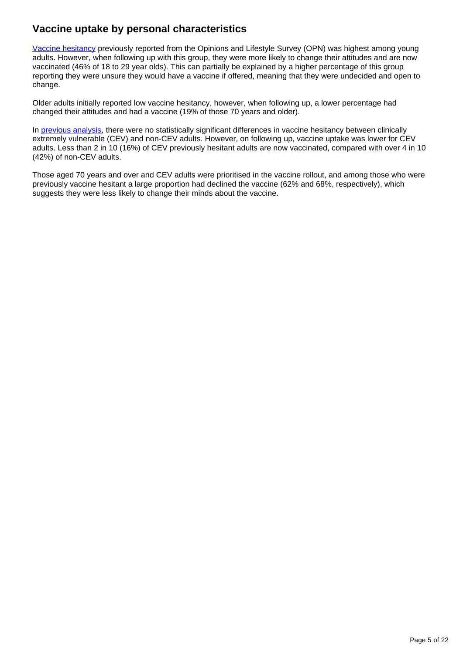## **Vaccine uptake by personal characteristics**

[Vaccine hesitancy](https://www.ons.gov.uk/peoplepopulationandcommunity/healthandsocialcare/healthandwellbeing/bulletins/coronavirusandvaccinehesitancygreatbritain/previousReleases) previously reported from the Opinions and Lifestyle Survey (OPN) was highest among young adults. However, when following up with this group, they were more likely to change their attitudes and are now vaccinated (46% of 18 to 29 year olds). This can partially be explained by a higher percentage of this group reporting they were unsure they would have a vaccine if offered, meaning that they were undecided and open to change.

Older adults initially reported low vaccine hesitancy, however, when following up, a lower percentage had changed their attitudes and had a vaccine (19% of those 70 years and older).

In [previous analysis,](https://www.ons.gov.uk/peoplepopulationandcommunity/healthandsocialcare/healthandwellbeing/bulletins/coronavirusandvaccinehesitancygreatbritain/9august2021) there were no statistically significant differences in vaccine hesitancy between clinically extremely vulnerable (CEV) and non-CEV adults. However, on following up, vaccine uptake was lower for CEV adults. Less than 2 in 10 (16%) of CEV previously hesitant adults are now vaccinated, compared with over 4 in 10 (42%) of non-CEV adults.

Those aged 70 years and over and CEV adults were prioritised in the vaccine rollout, and among those who were previously vaccine hesitant a large proportion had declined the vaccine (62% and 68%, respectively), which suggests they were less likely to change their minds about the vaccine.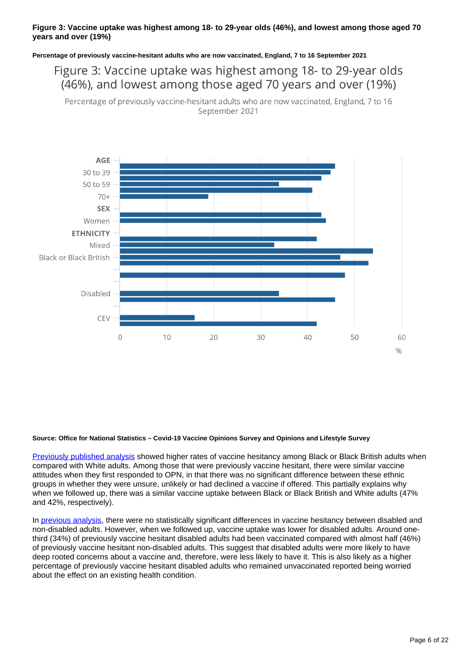#### **Figure 3: Vaccine uptake was highest among 18- to 29-year olds (46%), and lowest among those aged 70 years and over (19%)**

**Percentage of previously vaccine-hesitant adults who are now vaccinated, England, 7 to 16 September 2021**

Figure 3: Vaccine uptake was highest among 18- to 29-year olds (46%), and lowest among those aged 70 years and over (19%)

Percentage of previously vaccine-hesitant adults who are now vaccinated, England, 7 to 16 September 2021



#### **Source: Office for National Statistics – Covid-19 Vaccine Opinions Survey and Opinions and Lifestyle Survey**

[Previously published analysis](https://www.ons.gov.uk/peoplepopulationandcommunity/healthandsocialcare/healthandwellbeing/bulletins/coronavirusandvaccinehesitancygreatbritain/9august2021) showed higher rates of vaccine hesitancy among Black or Black British adults when compared with White adults. Among those that were previously vaccine hesitant, there were similar vaccine attitudes when they first responded to OPN, in that there was no significant difference between these ethnic groups in whether they were unsure, unlikely or had declined a vaccine if offered. This partially explains why when we followed up, there was a similar vaccine uptake between Black or Black British and White adults (47% and 42%, respectively).

In [previous analysis,](https://www.ons.gov.uk/peoplepopulationandcommunity/healthandsocialcare/healthandwellbeing/bulletins/coronavirusandvaccinehesitancygreatbritain/9august2021) there were no statistically significant differences in vaccine hesitancy between disabled and non-disabled adults. However, when we followed up, vaccine uptake was lower for disabled adults. Around onethird (34%) of previously vaccine hesitant disabled adults had been vaccinated compared with almost half (46%) of previously vaccine hesitant non-disabled adults. This suggest that disabled adults were more likely to have deep rooted concerns about a vaccine and, therefore, were less likely to have it. This is also likely as a higher percentage of previously vaccine hesitant disabled adults who remained unvaccinated reported being worried about the effect on an existing health condition.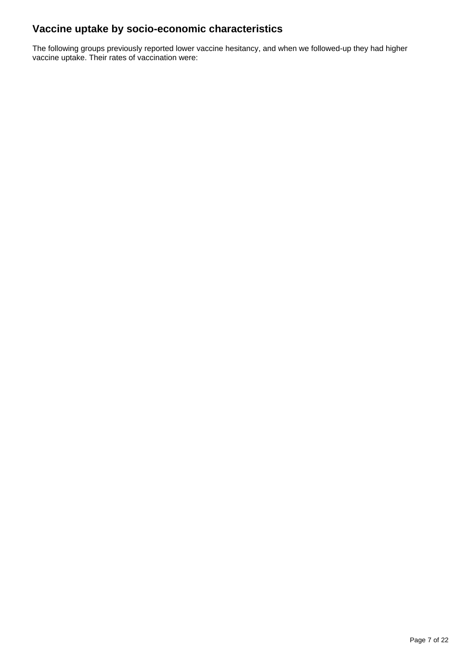## **Vaccine uptake by socio-economic characteristics**

The following groups previously reported lower vaccine hesitancy, and when we followed-up they had higher vaccine uptake. Their rates of vaccination were: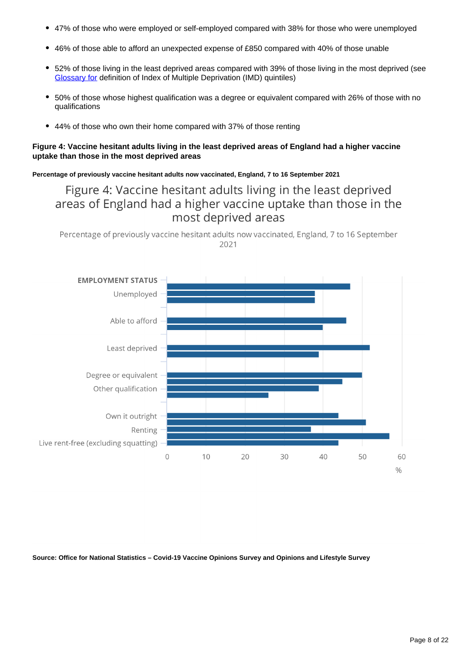- 47% of those who were employed or self-employed compared with 38% for those who were unemployed
- 46% of those able to afford an unexpected expense of £850 compared with 40% of those unable
- 52% of those living in the least deprived areas compared with 39% of those living in the most deprived (see [Glossary for](https://www.ons.gov.uk/peoplepopulationandcommunity/healthandsocialcare/healthandwellbeing/bulletins/coronavirusandchangingattitudestowardsvaccinationengland/7to16september2021#glossary) definition of Index of Multiple Deprivation (IMD) quintiles)
- 50% of those whose highest qualification was a degree or equivalent compared with 26% of those with no qualifications
- 44% of those who own their home compared with 37% of those renting

#### **Figure 4: Vaccine hesitant adults living in the least deprived areas of England had a higher vaccine uptake than those in the most deprived areas**

**Percentage of previously vaccine hesitant adults now vaccinated, England, 7 to 16 September 2021**

## Figure 4: Vaccine hesitant adults living in the least deprived areas of England had a higher vaccine uptake than those in the most deprived areas

Percentage of previously vaccine hesitant adults now vaccinated, England, 7 to 16 September 2021



**Source: Office for National Statistics – Covid-19 Vaccine Opinions Survey and Opinions and Lifestyle Survey**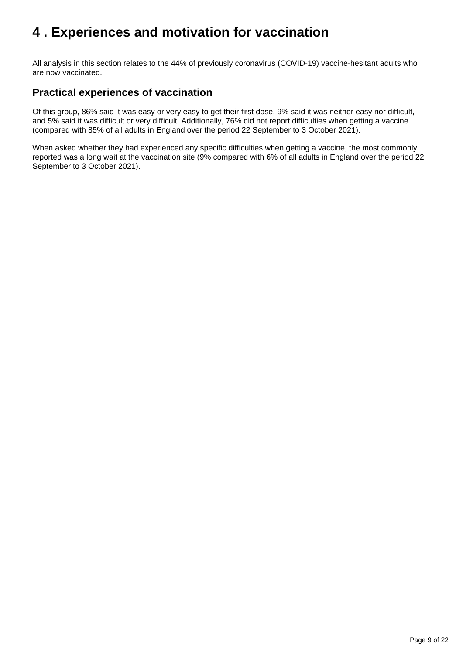# <span id="page-8-0"></span>**4 . Experiences and motivation for vaccination**

All analysis in this section relates to the 44% of previously coronavirus (COVID-19) vaccine-hesitant adults who are now vaccinated.

## **Practical experiences of vaccination**

Of this group, 86% said it was easy or very easy to get their first dose, 9% said it was neither easy nor difficult, and 5% said it was difficult or very difficult. Additionally, 76% did not report difficulties when getting a vaccine (compared with 85% of all adults in England over the period 22 September to 3 October 2021).

When asked whether they had experienced any specific difficulties when getting a vaccine, the most commonly reported was a long wait at the vaccination site (9% compared with 6% of all adults in England over the period 22 September to 3 October 2021).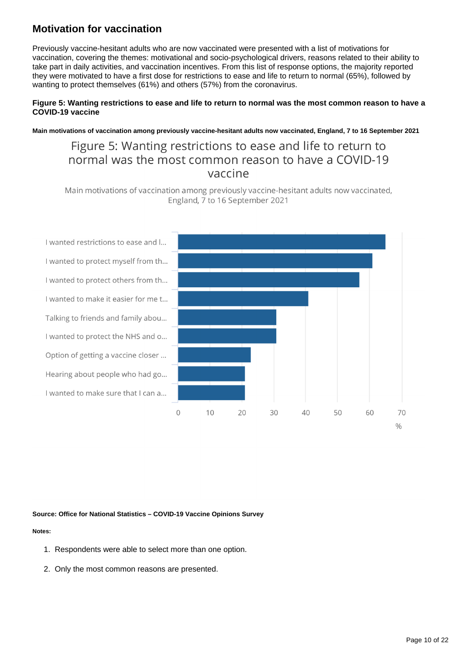## **Motivation for vaccination**

Previously vaccine-hesitant adults who are now vaccinated were presented with a list of motivations for vaccination, covering the themes: motivational and socio-psychological drivers, reasons related to their ability to take part in daily activities, and vaccination incentives. From this list of response options, the majority reported they were motivated to have a first dose for restrictions to ease and life to return to normal (65%), followed by wanting to protect themselves (61%) and others (57%) from the coronavirus.

#### **Figure 5: Wanting restrictions to ease and life to return to normal was the most common reason to have a COVID-19 vaccine**

**Main motivations of vaccination among previously vaccine-hesitant adults now vaccinated, England, 7 to 16 September 2021**

# Figure 5: Wanting restrictions to ease and life to return to normal was the most common reason to have a COVID-19 vaccine

Main motivations of vaccination among previously vaccine-hesitant adults now vaccinated, England, 7 to 16 September 2021

I wanted restrictions to ease and l... I wanted to protect myself from th... I wanted to protect others from th... I wanted to make it easier for me t... Talking to friends and family abou... I wanted to protect the NHS and o... Option of getting a vaccine closer ... Hearing about people who had go... I wanted to make sure that I can a...



#### **Source: Office for National Statistics – COVID-19 Vaccine Opinions Survey**

#### **Notes:**

- 1. Respondents were able to select more than one option.
- 2. Only the most common reasons are presented.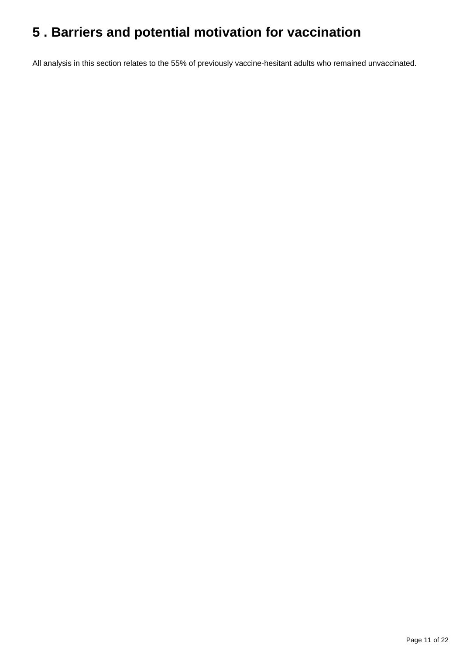# <span id="page-10-0"></span>**5 . Barriers and potential motivation for vaccination**

All analysis in this section relates to the 55% of previously vaccine-hesitant adults who remained unvaccinated.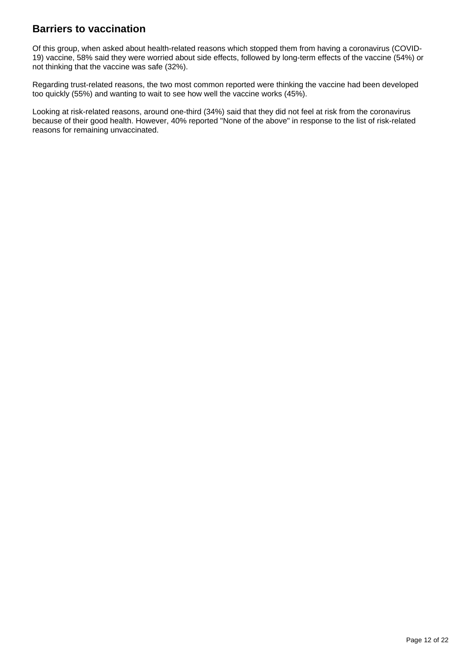## **Barriers to vaccination**

Of this group, when asked about health-related reasons which stopped them from having a coronavirus (COVID-19) vaccine, 58% said they were worried about side effects, followed by long-term effects of the vaccine (54%) or not thinking that the vaccine was safe (32%).

Regarding trust-related reasons, the two most common reported were thinking the vaccine had been developed too quickly (55%) and wanting to wait to see how well the vaccine works (45%).

Looking at risk-related reasons, around one-third (34%) said that they did not feel at risk from the coronavirus because of their good health. However, 40% reported "None of the above" in response to the list of risk-related reasons for remaining unvaccinated.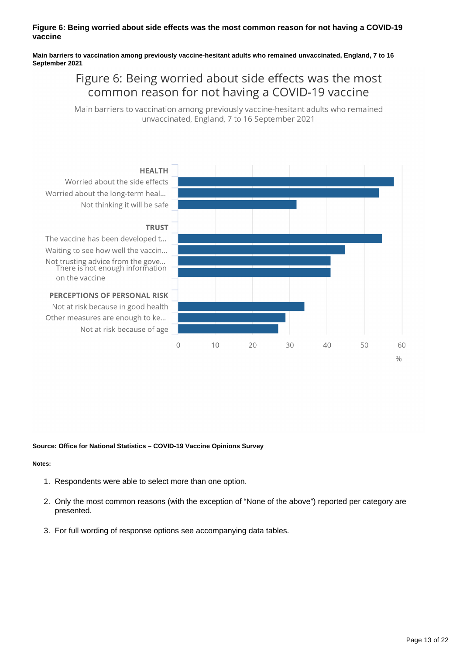#### **Figure 6: Being worried about side effects was the most common reason for not having a COVID-19 vaccine**

**Main barriers to vaccination among previously vaccine-hesitant adults who remained unvaccinated, England, 7 to 16 September 2021**

# Figure 6: Being worried about side effects was the most common reason for not having a COVID-19 vaccine

Main barriers to vaccination among previously vaccine-hesitant adults who remained unvaccinated, England, 7 to 16 September 2021



#### **Source: Office for National Statistics – COVID-19 Vaccine Opinions Survey**

#### **Notes:**

- 1. Respondents were able to select more than one option.
- 2. Only the most common reasons (with the exception of "None of the above") reported per category are presented.
- 3. For full wording of response options see accompanying data tables.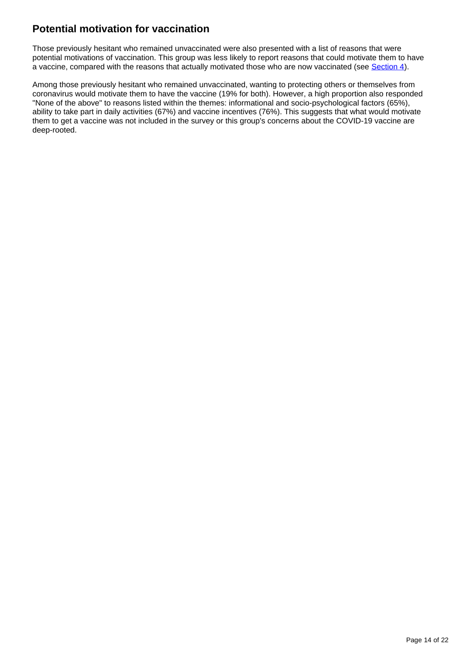## **Potential motivation for vaccination**

Those previously hesitant who remained unvaccinated were also presented with a list of reasons that were potential motivations of vaccination. This group was less likely to report reasons that could motivate them to have a vaccine, compared with the reasons that actually motivated those who are now vaccinated (see [Section 4](https://www.ons.gov.uk/peoplepopulationandcommunity/healthandsocialcare/healthandwellbeing/bulletins/coronavirusandchangingattitudestowardsvaccinationengland/7to16september2021#experiences-and-motivation-for-vaccination)).

Among those previously hesitant who remained unvaccinated, wanting to protecting others or themselves from coronavirus would motivate them to have the vaccine (19% for both). However, a high proportion also responded "None of the above" to reasons listed within the themes: informational and socio-psychological factors (65%), ability to take part in daily activities (67%) and vaccine incentives (76%). This suggests that what would motivate them to get a vaccine was not included in the survey or this group's concerns about the COVID-19 vaccine are deep-rooted.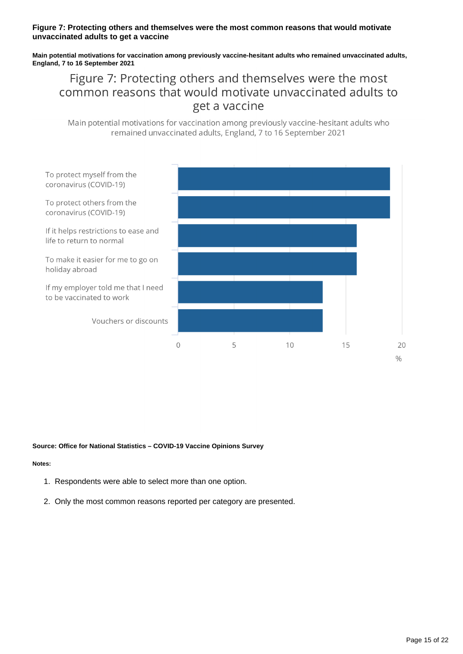#### **Figure 7: Protecting others and themselves were the most common reasons that would motivate unvaccinated adults to get a vaccine**

**Main potential motivations for vaccination among previously vaccine-hesitant adults who remained unvaccinated adults, England, 7 to 16 September 2021**

# Figure 7: Protecting others and themselves were the most common reasons that would motivate unvaccinated adults to get a vaccine

Main potential motivations for vaccination among previously vaccine-hesitant adults who remained unvaccinated adults, England, 7 to 16 September 2021



#### **Source: Office for National Statistics – COVID-19 Vaccine Opinions Survey**

#### **Notes:**

- 1. Respondents were able to select more than one option.
- 2. Only the most common reasons reported per category are presented.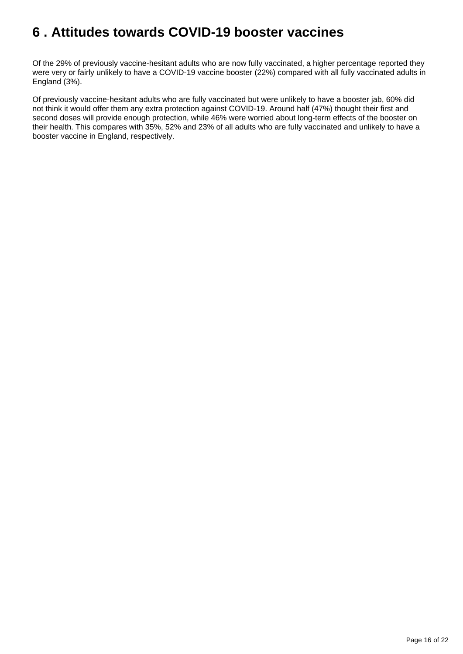# <span id="page-15-0"></span>**6 . Attitudes towards COVID-19 booster vaccines**

Of the 29% of previously vaccine-hesitant adults who are now fully vaccinated, a higher percentage reported they were very or fairly unlikely to have a COVID-19 vaccine booster (22%) compared with all fully vaccinated adults in England (3%).

Of previously vaccine-hesitant adults who are fully vaccinated but were unlikely to have a booster jab, 60% did not think it would offer them any extra protection against COVID-19. Around half (47%) thought their first and second doses will provide enough protection, while 46% were worried about long-term effects of the booster on their health. This compares with 35%, 52% and 23% of all adults who are fully vaccinated and unlikely to have a booster vaccine in England, respectively.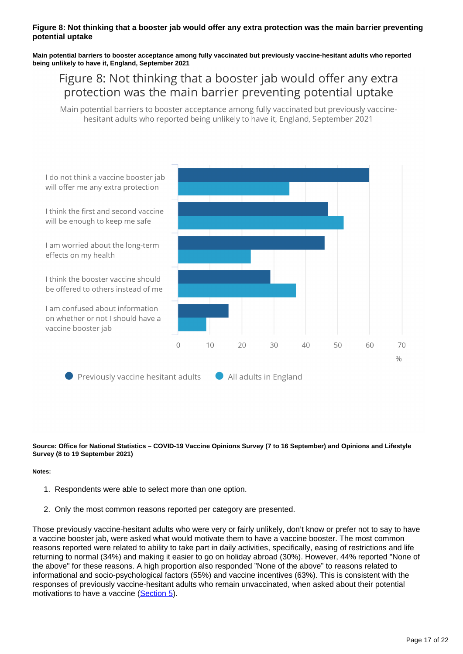#### **Figure 8: Not thinking that a booster jab would offer any extra protection was the main barrier preventing potential uptake**

#### **Main potential barriers to booster acceptance among fully vaccinated but previously vaccine-hesitant adults who reported being unlikely to have it, England, September 2021**

# Figure 8: Not thinking that a booster jab would offer any extra protection was the main barrier preventing potential uptake

Main potential barriers to booster acceptance among fully vaccinated but previously vaccinehesitant adults who reported being unlikely to have it, England, September 2021



**Source: Office for National Statistics – COVID-19 Vaccine Opinions Survey (7 to 16 September) and Opinions and Lifestyle Survey (8 to 19 September 2021)**

#### **Notes:**

- 1. Respondents were able to select more than one option.
- 2. Only the most common reasons reported per category are presented.

Those previously vaccine-hesitant adults who were very or fairly unlikely, don't know or prefer not to say to have a vaccine booster jab, were asked what would motivate them to have a vaccine booster. The most common reasons reported were related to ability to take part in daily activities, specifically, easing of restrictions and life returning to normal (34%) and making it easier to go on holiday abroad (30%). However, 44% reported "None of the above" for these reasons. A high proportion also responded "None of the above" to reasons related to informational and socio-psychological factors (55%) and vaccine incentives (63%). This is consistent with the responses of previously vaccine-hesitant adults who remain unvaccinated, when asked about their potential motivations to have a vaccine [\(Section 5](https://www.ons.gov.uk/peoplepopulationandcommunity/healthandsocialcare/healthandwellbeing/bulletins/coronavirusandchangingattitudestowardsvaccinationengland/7to16september2021#barriers-and-potential-motivation-for-vaccination)).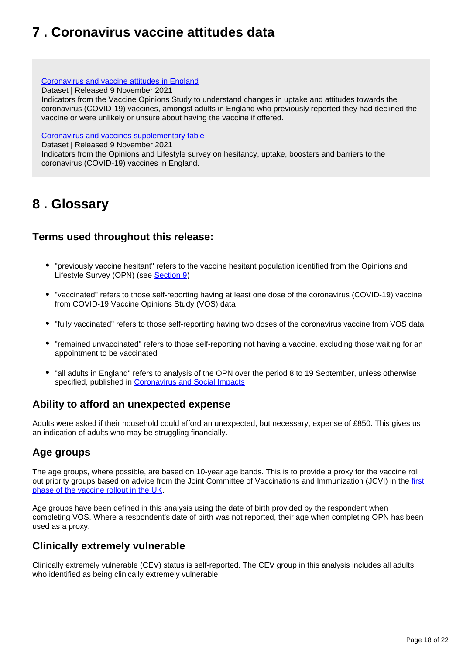# <span id="page-17-0"></span>**7 . Coronavirus vaccine attitudes data**

#### [Coronavirus and vaccine attitudes in England](https://www.ons.gov.uk/peoplepopulationandcommunity/healthandsocialcare/healthandwellbeing/datasets/coronavirusandvaccineattitudesinengland)

Dataset | Released 9 November 2021

Indicators from the Vaccine Opinions Study to understand changes in uptake and attitudes towards the coronavirus (COVID-19) vaccines, amongst adults in England who previously reported they had declined the vaccine or were unlikely or unsure about having the vaccine if offered.

#### [Coronavirus and vaccines supplementary table](https://www.ons.gov.uk/peoplepopulationandcommunity/healthandsocialcare/healthandwellbeing/datasets/coronavirusandvaccinessupplementarytable)

Dataset | Released 9 November 2021

Indicators from the Opinions and Lifestyle survey on hesitancy, uptake, boosters and barriers to the coronavirus (COVID-19) vaccines in England.

# <span id="page-17-1"></span>**8 . Glossary**

### **Terms used throughout this release:**

- "previously vaccine hesitant" refers to the vaccine hesitant population identified from the Opinions and Lifestyle Survey (OPN) (see [Section 9\)](https://www.ons.gov.uk/peoplepopulationandcommunity/healthandsocialcare/healthandwellbeing/bulletins/coronavirusandchangingattitudestowardsvaccinationengland/7to16september2021#measuring-the-data)
- "vaccinated" refers to those self-reporting having at least one dose of the coronavirus (COVID-19) vaccine from COVID-19 Vaccine Opinions Study (VOS) data
- "fully vaccinated" refers to those self-reporting having two doses of the coronavirus vaccine from VOS data
- "remained unvaccinated" refers to those self-reporting not having a vaccine, excluding those waiting for an appointment to be vaccinated
- "all adults in England" refers to analysis of the OPN over the period 8 to 19 September, unless otherwise specified, published in [Coronavirus and Social Impacts](https://www.ons.gov.uk/peoplepopulationandcommunity/healthandsocialcare/healthandwellbeing/bulletins/coronavirusandthesocialimpactsongreatbritain/24september2021)

## **Ability to afford an unexpected expense**

Adults were asked if their household could afford an unexpected, but necessary, expense of £850. This gives us an indication of adults who may be struggling financially.

## **Age groups**

The age groups, where possible, are based on 10-year age bands. This is to provide a proxy for the vaccine roll out priority groups based on advice from the Joint Committee of Vaccinations and Immunization (JCVI) in the [first](https://www.gov.uk/government/publications/covid-19-vaccination-care-home-and-healthcare-settings-posters/covid-19-vaccination-first-phase-priority-groups)  [phase of the vaccine rollout in the UK.](https://www.gov.uk/government/publications/covid-19-vaccination-care-home-and-healthcare-settings-posters/covid-19-vaccination-first-phase-priority-groups)

Age groups have been defined in this analysis using the date of birth provided by the respondent when completing VOS. Where a respondent's date of birth was not reported, their age when completing OPN has been used as a proxy.

### **Clinically extremely vulnerable**

Clinically extremely vulnerable (CEV) status is self-reported. The CEV group in this analysis includes all adults who identified as being clinically extremely vulnerable.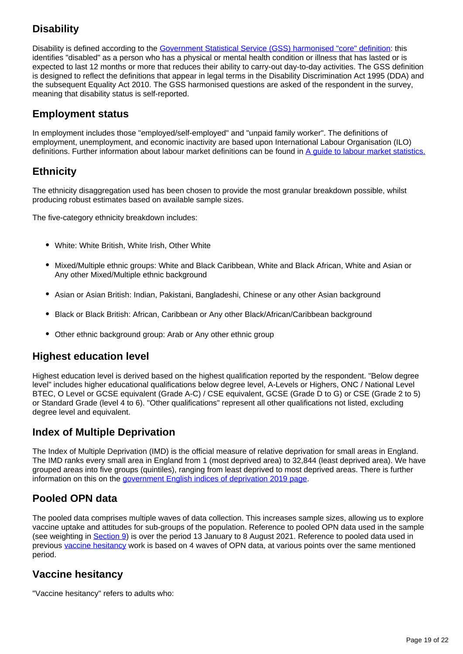## **Disability**

Disability is defined according to the [Government Statistical Service \(GSS\) harmonised "core" definition](https://gss.civilservice.gov.uk/policy-store/measuring-disability-for-the-equality-act-2010/): this identifies "disabled" as a person who has a physical or mental health condition or illness that has lasted or is expected to last 12 months or more that reduces their ability to carry-out day-to-day activities. The GSS definition is designed to reflect the definitions that appear in legal terms in the Disability Discrimination Act 1995 (DDA) and the subsequent Equality Act 2010. The GSS harmonised questions are asked of the respondent in the survey, meaning that disability status is self-reported.

### **Employment status**

In employment includes those "employed/self-employed" and "unpaid family worker". The definitions of employment, unemployment, and economic inactivity are based upon International Labour Organisation (ILO) definitions. Further information about labour market definitions can be found in A quide to labour market statistics.

## **Ethnicity**

The ethnicity disaggregation used has been chosen to provide the most granular breakdown possible, whilst producing robust estimates based on available sample sizes.

The five-category ethnicity breakdown includes:

- White: White British, White Irish, Other White
- Mixed/Multiple ethnic groups: White and Black Caribbean, White and Black African, White and Asian or Any other Mixed/Multiple ethnic background
- Asian or Asian British: Indian, Pakistani, Bangladeshi, Chinese or any other Asian background
- Black or Black British: African, Caribbean or Any other Black/African/Caribbean background
- Other ethnic background group: Arab or Any other ethnic group

### **Highest education level**

Highest education level is derived based on the highest qualification reported by the respondent. "Below degree level" includes higher educational qualifications below degree level, A-Levels or Highers, ONC / National Level BTEC, O Level or GCSE equivalent (Grade A-C) / CSE equivalent, GCSE (Grade D to G) or CSE (Grade 2 to 5) or Standard Grade (level 4 to 6). "Other qualifications" represent all other qualifications not listed, excluding degree level and equivalent.

## **Index of Multiple Deprivation**

The Index of Multiple Deprivation (IMD) is the official measure of relative deprivation for small areas in England. The IMD ranks every small area in England from 1 (most deprived area) to 32,844 (least deprived area). We have grouped areas into five groups (quintiles), ranging from least deprived to most deprived areas. There is further information on this on the [government English indices of deprivation 2019 page](https://www.gov.uk/government/statistics/english-indices-of-deprivation-2019).

## **Pooled OPN data**

The pooled data comprises multiple waves of data collection. This increases sample sizes, allowing us to explore vaccine uptake and attitudes for sub-groups of the population. Reference to pooled OPN data used in the sample (see weighting in [Section 9](https://www.ons.gov.uk/peoplepopulationandcommunity/healthandsocialcare/healthandwellbeing/bulletins/coronavirusandchangingattitudestowardsvaccinationengland/7to16september2021#measuring-the-data)) is over the period 13 January to 8 August 2021. Reference to pooled data used in previous [vaccine hesitancy](https://www.ons.gov.uk/peoplepopulationandcommunity/healthandsocialcare/healthandwellbeing/bulletins/coronavirusandvaccinehesitancygreatbritain/previousReleases) work is based on 4 waves of OPN data, at various points over the same mentioned period.

## **Vaccine hesitancy**

"Vaccine hesitancy" refers to adults who: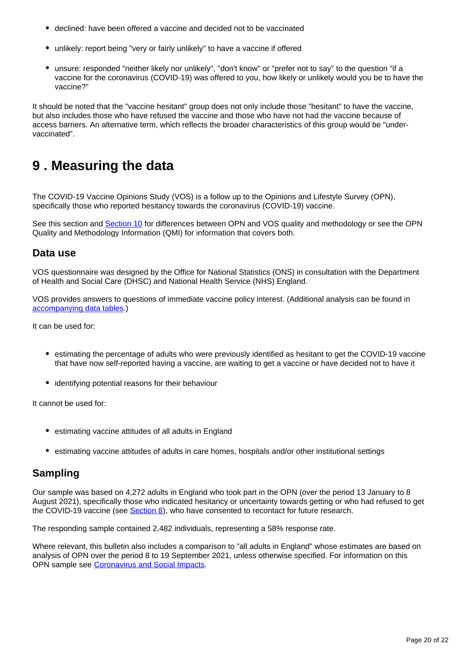- declined: have been offered a vaccine and decided not to be vaccinated
- unlikely: report being "very or fairly unlikely" to have a vaccine if offered
- unsure: responded "neither likely nor unlikely", "don't know" or "prefer not to say" to the question "if a vaccine for the coronavirus (COVID-19) was offered to you, how likely or unlikely would you be to have the vaccine?"

It should be noted that the "vaccine hesitant" group does not only include those "hesitant" to have the vaccine, but also includes those who have refused the vaccine and those who have not had the vaccine because of access barriers. An alternative term, which reflects the broader characteristics of this group would be "undervaccinated".

# <span id="page-19-0"></span>**9 . Measuring the data**

The COVID-19 Vaccine Opinions Study (VOS) is a follow up to the Opinions and Lifestyle Survey (OPN), specifically those who reported hesitancy towards the coronavirus (COVID-19) vaccine.

See this section and [Section 10](https://www.ons.gov.uk/peoplepopulationandcommunity/healthandsocialcare/healthandwellbeing/bulletins/coronavirusandchangingattitudestowardsvaccinationengland/7to16september2021#strengths-and-limitations) for differences between OPN and VOS quality and methodology or see the OPN Quality and Methodology Information (QMI) for information that covers both.

### **Data use**

VOS questionnaire was designed by the Office for National Statistics (ONS) in consultation with the Department of Health and Social Care (DHSC) and National Health Service (NHS) England.

VOS provides answers to questions of immediate vaccine policy interest. (Additional analysis can be found in [accompanying data tables.](https://www.ons.gov.uk/peoplepopulationandcommunity/healthandsocialcare/healthandwellbeing/bulletins/coronavirusandchangingattitudestowardsvaccinationengland/7to16september2021#coronavirus-vaccine-attitudes-data))

It can be used for:

- estimating the percentage of adults who were previously identified as hesitant to get the COVID-19 vaccine that have now self-reported having a vaccine, are waiting to get a vaccine or have decided not to have it
- identifying potential reasons for their behaviour

It cannot be used for:

- estimating vaccine attitudes of all adults in England
- estimating vaccine attitudes of adults in care homes, hospitals and/or other institutional settings

### **Sampling**

Our sample was based on 4,272 adults in England who took part in the OPN (over the period 13 January to 8 August 2021), specifically those who indicated hesitancy or uncertainty towards getting or who had refused to get the COVID-19 vaccine (see **Section 8**), who have consented to recontact for future research.

The responding sample contained 2,482 individuals, representing a 58% response rate.

Where relevant, this bulletin also includes a comparison to "all adults in England" whose estimates are based on analysis of OPN over the period 8 to 19 September 2021, unless otherwise specified. For information on this OPN sample see [Coronavirus and Social Impacts](http://www.ons.gov.uk/peoplepopulationandcommunity/healthandsocialcare/healthandwellbeing/bulletins/coronavirusandthesocialimpactsongreatbritain/24september2021).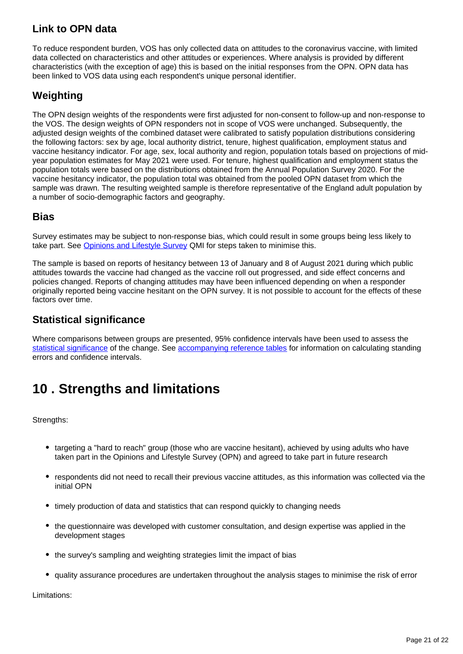## **Link to OPN data**

To reduce respondent burden, VOS has only collected data on attitudes to the coronavirus vaccine, with limited data collected on characteristics and other attitudes or experiences. Where analysis is provided by different characteristics (with the exception of age) this is based on the initial responses from the OPN. OPN data has been linked to VOS data using each respondent's unique personal identifier.

## **Weighting**

The OPN design weights of the respondents were first adjusted for non-consent to follow-up and non-response to the VOS. The design weights of OPN responders not in scope of VOS were unchanged. Subsequently, the adjusted design weights of the combined dataset were calibrated to satisfy population distributions considering the following factors: sex by age, local authority district, tenure, highest qualification, employment status and vaccine hesitancy indicator. For age, sex, local authority and region, population totals based on projections of midyear population estimates for May 2021 were used. For tenure, highest qualification and employment status the population totals were based on the distributions obtained from the Annual Population Survey 2020. For the vaccine hesitancy indicator, the population total was obtained from the pooled OPN dataset from which the sample was drawn. The resulting weighted sample is therefore representative of the England adult population by a number of socio-demographic factors and geography.

### **Bias**

Survey estimates may be subject to non-response bias, which could result in some groups being less likely to take part. See [Opinions and Lifestyle Survey](http://www.ons.gov.uk/peoplepopulationandcommunity/healthandsocialcare/healthandlifeexpectancies/methodologies/opinionsandlifestylesurveyqmi) QMI for steps taken to minimise this.

The sample is based on reports of hesitancy between 13 of January and 8 of August 2021 during which public attitudes towards the vaccine had changed as the vaccine roll out progressed, and side effect concerns and policies changed. Reports of changing attitudes may have been influenced depending on when a responder originally reported being vaccine hesitant on the OPN survey. It is not possible to account for the effects of these factors over time.

### **Statistical significance**

Where comparisons between groups are presented, 95% confidence intervals have been used to assess the [statistical significance](https://www.ons.gov.uk/methodology/methodologytopicsandstatisticalconcepts/uncertaintyandhowwemeasureit#statistical-significance) of the change. See [accompanying reference tables](https://www.ons.gov.uk/peoplepopulationandcommunity/healthandsocialcare/healthandwellbeing/bulletins/coronavirusandchangingattitudestowardsvaccinationengland/7to16september2021#coronavirus-vaccine-attitudes-data) for information on calculating standing errors and confidence intervals.

# <span id="page-20-0"></span>**10 . Strengths and limitations**

Strengths:

- targeting a "hard to reach" group (those who are vaccine hesitant), achieved by using adults who have taken part in the Opinions and Lifestyle Survey (OPN) and agreed to take part in future research
- respondents did not need to recall their previous vaccine attitudes, as this information was collected via the initial OPN
- timely production of data and statistics that can respond quickly to changing needs
- the questionnaire was developed with customer consultation, and design expertise was applied in the development stages
- the survey's sampling and weighting strategies limit the impact of bias
- quality assurance procedures are undertaken throughout the analysis stages to minimise the risk of error

Limitations: